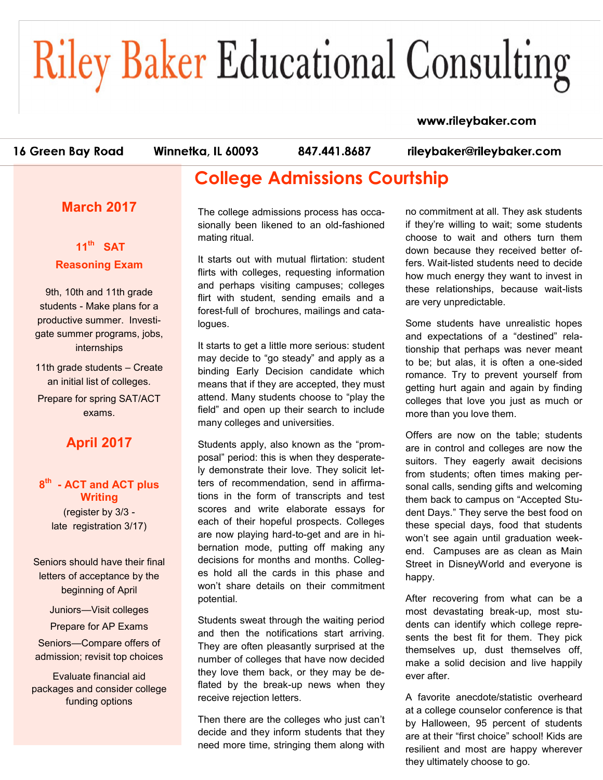# **Riley Baker Educational Consulting**

#### www.rileybaker.com

16 Green Bay Road

Winnetka, IL 60093

847.441.8687

rileybaker@rileybaker.com

## **College Admissions Courtship**

#### **March 2017**

#### **11th SAT Reasoning Exam**

9th, 10th and 11th grade students - Make plans for a productive summer. Investigate summer programs, jobs, internships

11th grade students – Create an initial list of colleges. Prepare for spring SAT/ACT exams.

### **April 2017**

#### **8 th - ACT and ACT plus Writing**

(register by 3/3 late registration 3/17)

Seniors should have their final letters of acceptance by the beginning of April

Juniors—Visit colleges

Prepare for AP Exams Seniors—Compare offers of admission; revisit top choices

Evaluate financial aid packages and consider college funding options

The college admissions process has occasionally been likened to an old-fashioned mating ritual.

It starts out with mutual flirtation: student flirts with colleges, requesting information and perhaps visiting campuses; colleges flirt with student, sending emails and a forest-full of brochures, mailings and catalogues.

It starts to get a little more serious: student may decide to "go steady" and apply as a binding Early Decision candidate which means that if they are accepted, they must attend. Many students choose to "play the field" and open up their search to include many colleges and universities.

Students apply, also known as the "promposal" period: this is when they desperately demonstrate their love. They solicit letters of recommendation, send in affirmations in the form of transcripts and test scores and write elaborate essays for each of their hopeful prospects. Colleges are now playing hard-to-get and are in hibernation mode, putting off making any decisions for months and months. Colleges hold all the cards in this phase and won't share details on their commitment potential.

Students sweat through the waiting period and then the notifications start arriving. They are often pleasantly surprised at the number of colleges that have now decided they love them back, or they may be deflated by the break-up news when they receive rejection letters.

Then there are the colleges who just can't decide and they inform students that they need more time, stringing them along with

no commitment at all. They ask students if they're willing to wait; some students choose to wait and others turn them down because they received better offers. Wait-listed students need to decide how much energy they want to invest in these relationships, because wait-lists are very unpredictable.

Some students have unrealistic hopes and expectations of a "destined" relationship that perhaps was never meant to be; but alas, it is often a one-sided romance. Try to prevent yourself from getting hurt again and again by finding colleges that love you just as much or more than you love them.

Offers are now on the table; students are in control and colleges are now the suitors. They eagerly await decisions from students; often times making personal calls, sending gifts and welcoming them back to campus on "Accepted Student Days." They serve the best food on these special days, food that students won't see again until graduation weekend. Campuses are as clean as Main Street in DisneyWorld and everyone is happy.

After recovering from what can be a most devastating break-up, most students can identify which college represents the best fit for them. They pick themselves up, dust themselves off, make a solid decision and live happily ever after.

A favorite anecdote/statistic overheard at a college counselor conference is that by Halloween, 95 percent of students are at their "first choice" school! Kids are resilient and most are happy wherever they ultimately choose to go.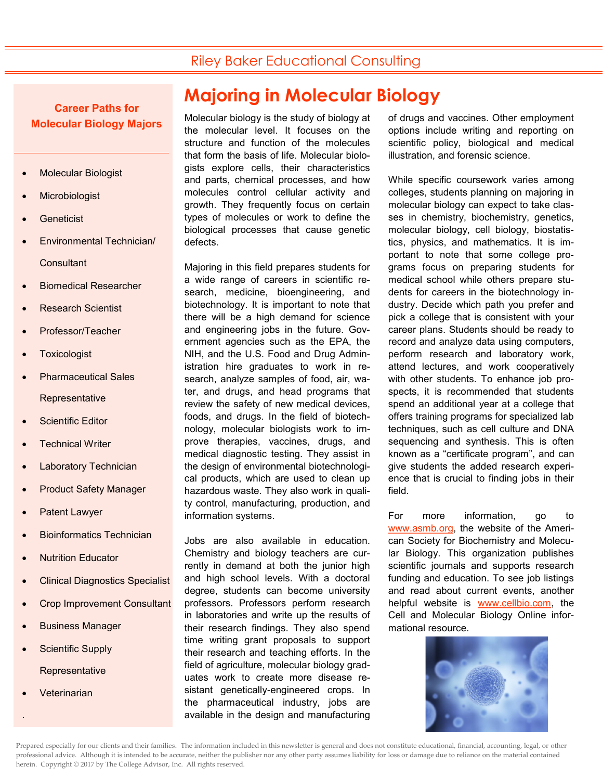### Riley Baker Educational Consulting

**Career Paths for Molecular Biology Majors**

- Molecular Biologist
- **Microbiologist**
- **Geneticist**
- Environmental Technician/ **Consultant**
- Biomedical Researcher
- Research Scientist
- Professor/Teacher
- **Toxicologist**
- Pharmaceutical Sales **Representative**
- Scientific Editor
- Technical Writer
- Laboratory Technician
- Product Safety Manager
- Patent Lawyer
- Bioinformatics Technician
- Nutrition Educator
- Clinical Diagnostics Specialist
- Crop Improvement Consultant
- Business Manager
- Scientific Supply **Representative**
- **Veterinarian**

.

## **Majoring in Molecular Biology**

Molecular biology is the study of biology at the molecular level. It focuses on the structure and function of the molecules that form the basis of life. Molecular biologists explore cells, their characteristics and parts, chemical processes, and how molecules control cellular activity and growth. They frequently focus on certain types of molecules or work to define the biological processes that cause genetic defects.

Majoring in this field prepares students for a wide range of careers in scientific research, medicine, bioengineering, and biotechnology. It is important to note that there will be a high demand for science and engineering jobs in the future. Government agencies such as the EPA, the NIH, and the U.S. Food and Drug Administration hire graduates to work in research, analyze samples of food, air, water, and drugs, and head programs that review the safety of new medical devices, foods, and drugs. In the field of biotechnology, molecular biologists work to improve therapies, vaccines, drugs, and medical diagnostic testing. They assist in the design of environmental biotechnological products, which are used to clean up hazardous waste. They also work in quality control, manufacturing, production, and information systems.

Jobs are also available in education. Chemistry and biology teachers are currently in demand at both the junior high and high school levels. With a doctoral degree, students can become university professors. Professors perform research in laboratories and write up the results of their research findings. They also spend time writing grant proposals to support their research and teaching efforts. In the field of agriculture, molecular biology graduates work to create more disease resistant genetically-engineered crops. In the pharmaceutical industry, jobs are available in the design and manufacturing

of drugs and vaccines. Other employment options include writing and reporting on scientific policy, biological and medical illustration, and forensic science.

While specific coursework varies among colleges, students planning on majoring in molecular biology can expect to take classes in chemistry, biochemistry, genetics, molecular biology, cell biology, biostatistics, physics, and mathematics. It is important to note that some college programs focus on preparing students for medical school while others prepare students for careers in the biotechnology industry. Decide which path you prefer and pick a college that is consistent with your career plans. Students should be ready to record and analyze data using computers, perform research and laboratory work, attend lectures, and work cooperatively with other students. To enhance job prospects, it is recommended that students spend an additional year at a college that offers training programs for specialized lab techniques, such as cell culture and DNA sequencing and synthesis. This is often known as a "certificate program", and can give students the added research experience that is crucial to finding jobs in their field.

For more information, go to [www.asmb.org,](http://www.asmb.org) the website of the American Society for Biochemistry and Molecular Biology. This organization publishes scientific journals and supports research funding and education. To see job listings and read about current events, another helpful website is [www.cellbio.com,](http://www.cellbio.com) the Cell and Molecular Biology Online informational resource.

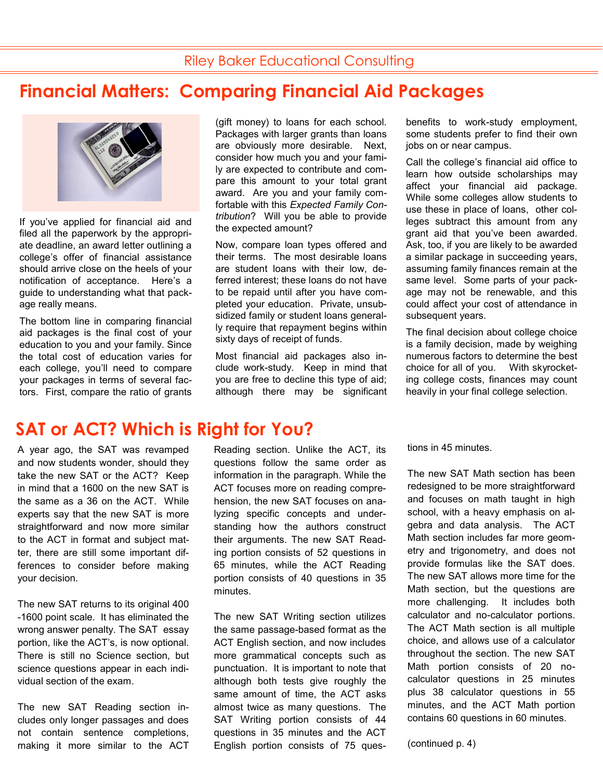## **Financial Matters: Comparing Financial Aid Packages**



If you've applied for financial aid and filed all the paperwork by the appropriate deadline, an award letter outlining a college's offer of financial assistance should arrive close on the heels of your notification of acceptance. Here's a guide to understanding what that package really means.

The bottom line in comparing financial aid packages is the final cost of your education to you and your family. Since the total cost of education varies for each college, you'll need to compare your packages in terms of several factors. First, compare the ratio of grants

# **SAT or ACT? Which is Right for You?**

A year ago, the SAT was revamped and now students wonder, should they take the new SAT or the ACT? Keep in mind that a 1600 on the new SAT is the same as a 36 on the ACT. While experts say that the new SAT is more straightforward and now more similar to the ACT in format and subject matter, there are still some important differences to consider before making your decision.

The new SAT returns to its original 400 -1600 point scale. It has eliminated the wrong answer penalty. The SAT essay portion, like the ACT's, is now optional. There is still no Science section, but science questions appear in each individual section of the exam.

The new SAT Reading section includes only longer passages and does not contain sentence completions, making it more similar to the ACT

(gift money) to loans for each school. Packages with larger grants than loans are obviously more desirable. Next, consider how much you and your family are expected to contribute and compare this amount to your total grant award. Are you and your family comfortable with this *Expected Family Contribution*? Will you be able to provide the expected amount?

Now, compare loan types offered and their terms. The most desirable loans are student loans with their low, deferred interest; these loans do not have to be repaid until after you have completed your education. Private, unsubsidized family or student loans generally require that repayment begins within sixty days of receipt of funds.

Most financial aid packages also include work-study. Keep in mind that you are free to decline this type of aid; although there may be significant

benefits to work-study employment, some students prefer to find their own jobs on or near campus.

Call the college's financial aid office to learn how outside scholarships may affect your financial aid package. While some colleges allow students to use these in place of loans, other colleges subtract this amount from any grant aid that you've been awarded. Ask, too, if you are likely to be awarded a similar package in succeeding years, assuming family finances remain at the same level. Some parts of your package may not be renewable, and this could affect your cost of attendance in subsequent years.

The final decision about college choice is a family decision, made by weighing numerous factors to determine the best choice for all of you. With skyrocketing college costs, finances may count heavily in your final college selection.

Reading section. Unlike the ACT, its questions follow the same order as information in the paragraph. While the ACT focuses more on reading comprehension, the new SAT focuses on analyzing specific concepts and understanding how the authors construct their arguments. The new SAT Reading portion consists of 52 questions in 65 minutes, while the ACT Reading portion consists of 40 questions in 35 minutes.

The new SAT Writing section utilizes the same passage-based format as the ACT English section, and now includes more grammatical concepts such as punctuation. It is important to note that although both tests give roughly the same amount of time, the ACT asks almost twice as many questions. The SAT Writing portion consists of 44 questions in 35 minutes and the ACT English portion consists of 75 questions in 45 minutes.

The new SAT Math section has been redesigned to be more straightforward and focuses on math taught in high school, with a heavy emphasis on algebra and data analysis. The ACT Math section includes far more geometry and trigonometry, and does not provide formulas like the SAT does. The new SAT allows more time for the Math section, but the questions are more challenging. It includes both calculator and no-calculator portions. The ACT Math section is all multiple choice, and allows use of a calculator throughout the section. The new SAT Math portion consists of 20 nocalculator questions in 25 minutes plus 38 calculator questions in 55 minutes, and the ACT Math portion contains 60 questions in 60 minutes.

(continued p. 4)